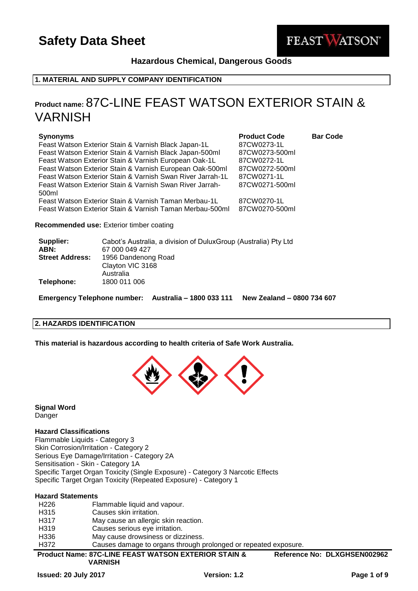

**Hazardous Chemical, Dangerous Goods**

## **1. MATERIAL AND SUPPLY COMPANY IDENTIFICATION**

## **Product name:** 87C-LINE FEAST WATSON EXTERIOR STAIN & VARNISH

| <b>Synonyms</b>                                            | <b>Product Code</b> | <b>Bar Code</b> |
|------------------------------------------------------------|---------------------|-----------------|
| Feast Watson Exterior Stain & Varnish Black Japan-1L       | 87CW0273-1L         |                 |
| Feast Watson Exterior Stain & Varnish Black Japan-500ml    | 87CW0273-500ml      |                 |
| Feast Watson Exterior Stain & Varnish European Oak-1L      | 87CW0272-1L         |                 |
| Feast Watson Exterior Stain & Varnish European Oak-500ml   | 87CW0272-500ml      |                 |
| Feast Watson Exterior Stain & Varnish Swan River Jarrah-1L | 87CW0271-1L         |                 |
| Feast Watson Exterior Stain & Varnish Swan River Jarrah-   | 87CW0271-500ml      |                 |
| 500ml                                                      |                     |                 |
| Feast Watson Exterior Stain & Varnish Taman Merbau-1L      | 87CW0270-1L         |                 |
| Feast Watson Exterior Stain & Varnish Taman Merbau-500ml   | 87CW0270-500ml      |                 |
|                                                            |                     |                 |

#### **Recommended use:** Exterior timber coating

| Supplier:              | Cabot's Australia, a division of DuluxGroup (Australia) Pty Ltd |
|------------------------|-----------------------------------------------------------------|
| ABN:                   | 67 000 049 427                                                  |
| <b>Street Address:</b> | 1956 Dandenong Road                                             |
|                        | Clayton VIC 3168                                                |
|                        | Australia                                                       |
| Telephone:             | 1800 011 006                                                    |
|                        |                                                                 |

**Emergency Telephone number: Australia – 1800 033 111 New Zealand – 0800 734 607**

## **2. HAZARDS IDENTIFICATION**

**This material is hazardous according to health criteria of Safe Work Australia.**



**Signal Word** Danger

## **Hazard Classifications**

Flammable Liquids - Category 3 Skin Corrosion/Irritation - Category 2 Serious Eye Damage/Irritation - Category 2A Sensitisation - Skin - Category 1A Specific Target Organ Toxicity (Single Exposure) - Category 3 Narcotic Effects Specific Target Organ Toxicity (Repeated Exposure) - Category 1

## **Hazard Statements**

|                   | <b>VARNISH</b>                                                  |                              |
|-------------------|-----------------------------------------------------------------|------------------------------|
|                   | <b>Product Name: 87C-LINE FEAST WATSON EXTERIOR STAIN &amp;</b> | Reference No: DLXGHSEN002962 |
| H372              | Causes damage to organs through prolonged or repeated exposure. |                              |
| H336              | May cause drowsiness or dizziness.                              |                              |
| H <sub>3</sub> 19 | Causes serious eye irritation.                                  |                              |
| H317              | May cause an allergic skin reaction.                            |                              |
| H <sub>3</sub> 15 | Causes skin irritation.                                         |                              |
| H <sub>226</sub>  | Flammable liquid and vapour.                                    |                              |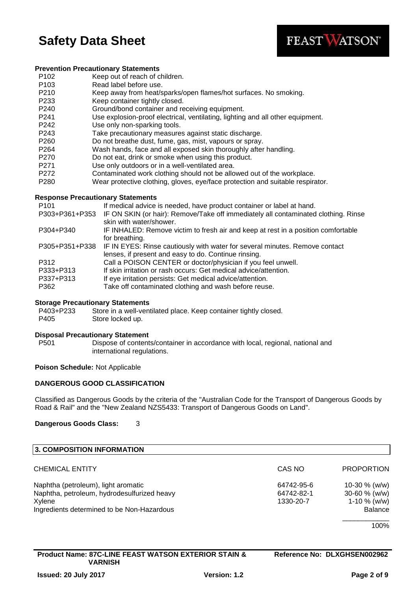

#### **Prevention Precautionary Statements**

- P102 Keep out of reach of children.
- P103 Read label before use.
- P210 Keep away from heat/sparks/open flames/hot surfaces. No smoking.
- P233 Keep container tightly closed.
- P240 Ground/bond container and receiving equipment.
- P241 Use explosion-proof electrical, ventilating, lighting and all other equipment.
- P242 Use only non-sparking tools.
- P243 Take precautionary measures against static discharge.
- P260 Do not breathe dust, fume, gas, mist, vapours or spray.
- P264 Wash hands, face and all exposed skin thoroughly after handling.
- P270 Do not eat, drink or smoke when using this product.
- P271 Use only outdoors or in a well-ventilated area.
- P272 Contaminated work clothing should not be allowed out of the workplace.
- P280 Wear protective clothing, gloves, eye/face protection and suitable respirator.

#### **Response Precautionary Statements**

| P <sub>101</sub> | If medical advice is needed, have product container or label at hand.              |
|------------------|------------------------------------------------------------------------------------|
| P303+P361+P353   | IF ON SKIN (or hair): Remove/Take off immediately all contaminated clothing. Rinse |
|                  | skin with water/shower.                                                            |
| P304+P340        | IF INHALED: Remove victim to fresh air and keep at rest in a position comfortable  |
|                  | for breathing.                                                                     |
| P305+P351+P338   | IF IN EYES: Rinse cautiously with water for several minutes. Remove contact        |
|                  | lenses, if present and easy to do. Continue rinsing.                               |
| P312             | Call a POISON CENTER or doctor/physician if you feel unwell.                       |
| P333+P313        | If skin irritation or rash occurs: Get medical advice/attention.                   |
| P337+P313        | If eye irritation persists: Get medical advice/attention.                          |
| P362             | Take off contaminated clothing and wash before reuse.                              |
|                  |                                                                                    |

#### **Storage Precautionary Statements**

P403+P233 Store in a well-ventilated place. Keep container tightly closed. P405 Store locked up.

#### **Disposal Precautionary Statement**

P501 Dispose of contents/container in accordance with local, regional, national and international regulations.

#### **Poison Schedule:** Not Applicable

## **DANGEROUS GOOD CLASSIFICATION**

Classified as Dangerous Goods by the criteria of the "Australian Code for the Transport of Dangerous Goods by Road & Rail" and the "New Zealand NZS5433: Transport of Dangerous Goods on Land".

#### **Dangerous Goods Class:** 3

| 3. COMPOSITION INFORMATION                  |            |                   |
|---------------------------------------------|------------|-------------------|
| <b>CHEMICAL ENTITY</b>                      | CAS NO     | <b>PROPORTION</b> |
| Naphtha (petroleum), light aromatic         | 64742-95-6 | 10-30 $% (w/w)$   |
| Naphtha, petroleum, hydrodesulfurized heavy | 64742-82-1 | 30-60 $% (w/w)$   |
| Xylene                                      | 1330-20-7  | 1-10 $%$ (w/w)    |
| Ingredients determined to be Non-Hazardous  |            | <b>Balance</b>    |
|                                             |            | 100%              |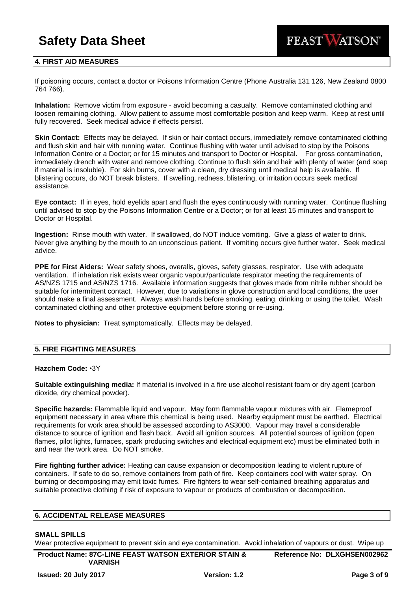

## **4. FIRST AID MEASURES**

If poisoning occurs, contact a doctor or Poisons Information Centre (Phone Australia 131 126, New Zealand 0800 764 766).

**Inhalation:** Remove victim from exposure - avoid becoming a casualty. Remove contaminated clothing and loosen remaining clothing. Allow patient to assume most comfortable position and keep warm. Keep at rest until fully recovered. Seek medical advice if effects persist.

**Skin Contact:** Effects may be delayed. If skin or hair contact occurs, immediately remove contaminated clothing and flush skin and hair with running water. Continue flushing with water until advised to stop by the Poisons Information Centre or a Doctor; or for 15 minutes and transport to Doctor or Hospital. For gross contamination, immediately drench with water and remove clothing. Continue to flush skin and hair with plenty of water (and soap if material is insoluble). For skin burns, cover with a clean, dry dressing until medical help is available. If blistering occurs, do NOT break blisters. If swelling, redness, blistering, or irritation occurs seek medical assistance.

**Eye contact:** If in eyes, hold eyelids apart and flush the eyes continuously with running water. Continue flushing until advised to stop by the Poisons Information Centre or a Doctor; or for at least 15 minutes and transport to Doctor or Hospital.

**Ingestion:** Rinse mouth with water. If swallowed, do NOT induce vomiting. Give a glass of water to drink. Never give anything by the mouth to an unconscious patient. If vomiting occurs give further water. Seek medical advice.

**PPE for First Aiders:** Wear safety shoes, overalls, gloves, safety glasses, respirator. Use with adequate ventilation. If inhalation risk exists wear organic vapour/particulate respirator meeting the requirements of AS/NZS 1715 and AS/NZS 1716. Available information suggests that gloves made from nitrile rubber should be suitable for intermittent contact. However, due to variations in glove construction and local conditions, the user should make a final assessment. Always wash hands before smoking, eating, drinking or using the toilet. Wash contaminated clothing and other protective equipment before storing or re-using.

**Notes to physician:** Treat symptomatically. Effects may be delayed.

## **5. FIRE FIGHTING MEASURES**

#### **Hazchem Code:** •3Y

**Suitable extinguishing media:** If material is involved in a fire use alcohol resistant foam or dry agent (carbon dioxide, dry chemical powder).

**Specific hazards:** Flammable liquid and vapour. May form flammable vapour mixtures with air. Flameproof equipment necessary in area where this chemical is being used. Nearby equipment must be earthed. Electrical requirements for work area should be assessed according to AS3000. Vapour may travel a considerable distance to source of ignition and flash back. Avoid all ignition sources. All potential sources of ignition (open flames, pilot lights, furnaces, spark producing switches and electrical equipment etc) must be eliminated both in and near the work area. Do NOT smoke.

**Fire fighting further advice:** Heating can cause expansion or decomposition leading to violent rupture of containers. If safe to do so, remove containers from path of fire. Keep containers cool with water spray. On burning or decomposing may emit toxic fumes. Fire fighters to wear self-contained breathing apparatus and suitable protective clothing if risk of exposure to vapour or products of combustion or decomposition.

#### **6. ACCIDENTAL RELEASE MEASURES**

#### **SMALL SPILLS**

Wear protective equipment to prevent skin and eye contamination. Avoid inhalation of vapours or dust. Wipe up

**Reference No: DLXGHSEN002962**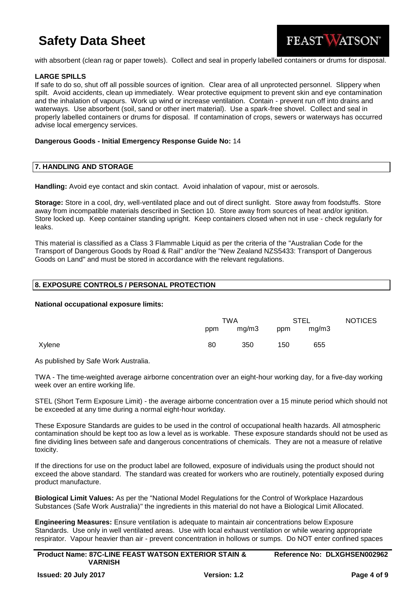

with absorbent (clean rag or paper towels). Collect and seal in properly labelled containers or drums for disposal.

## **LARGE SPILLS**

If safe to do so, shut off all possible sources of ignition. Clear area of all unprotected personnel. Slippery when spilt. Avoid accidents, clean up immediately. Wear protective equipment to prevent skin and eye contamination and the inhalation of vapours. Work up wind or increase ventilation. Contain - prevent run off into drains and waterways. Use absorbent (soil, sand or other inert material). Use a spark-free shovel. Collect and seal in properly labelled containers or drums for disposal. If contamination of crops, sewers or waterways has occurred advise local emergency services.

#### **Dangerous Goods - Initial Emergency Response Guide No:** 14

#### **7. HANDLING AND STORAGE**

**Handling:** Avoid eye contact and skin contact. Avoid inhalation of vapour, mist or aerosols.

**Storage:** Store in a cool, dry, well-ventilated place and out of direct sunlight. Store away from foodstuffs. Store away from incompatible materials described in Section 10. Store away from sources of heat and/or ignition. Store locked up. Keep container standing upright. Keep containers closed when not in use - check regularly for leaks.

This material is classified as a Class 3 Flammable Liquid as per the criteria of the "Australian Code for the Transport of Dangerous Goods by Road & Rail" and/or the "New Zealand NZS5433: Transport of Dangerous Goods on Land" and must be stored in accordance with the relevant regulations.

## **8. EXPOSURE CONTROLS / PERSONAL PROTECTION**

#### **National occupational exposure limits:**

|        | TWA |       | <b>STEL</b> |       | <b>NOTICES</b> |
|--------|-----|-------|-------------|-------|----------------|
|        | ppm | mg/m3 | ppm         | mg/m3 |                |
| Xylene | 80  | 350   | 150         | 655   |                |

As published by Safe Work Australia.

TWA - The time-weighted average airborne concentration over an eight-hour working day, for a five-day working week over an entire working life.

STEL (Short Term Exposure Limit) - the average airborne concentration over a 15 minute period which should not be exceeded at any time during a normal eight-hour workday.

These Exposure Standards are guides to be used in the control of occupational health hazards. All atmospheric contamination should be kept too as low a level as is workable. These exposure standards should not be used as fine dividing lines between safe and dangerous concentrations of chemicals. They are not a measure of relative toxicity.

If the directions for use on the product label are followed, exposure of individuals using the product should not exceed the above standard. The standard was created for workers who are routinely, potentially exposed during product manufacture.

**Biological Limit Values:** As per the "National Model Regulations for the Control of Workplace Hazardous Substances (Safe Work Australia)" the ingredients in this material do not have a Biological Limit Allocated.

**Engineering Measures:** Ensure ventilation is adequate to maintain air concentrations below Exposure Standards. Use only in well ventilated areas. Use with local exhaust ventilation or while wearing appropriate respirator. Vapour heavier than air - prevent concentration in hollows or sumps. Do NOT enter confined spaces

| <b>Product Name: 87C-LINE FEAST WATSON EXTERIOR STAIN &amp;</b> | Reference No: DLXGHSEN002962 |
|-----------------------------------------------------------------|------------------------------|
| <b>VARNISH</b>                                                  |                              |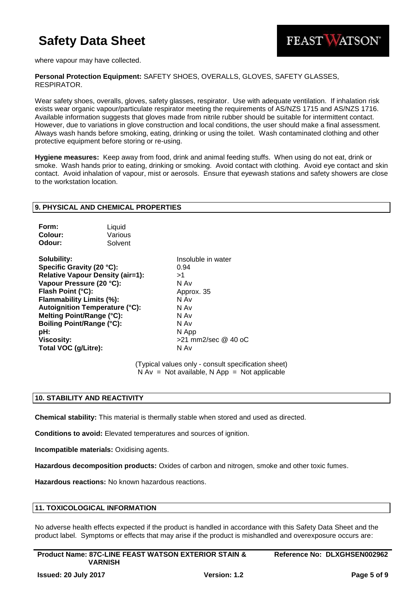

where vapour may have collected.

**Personal Protection Equipment:** SAFETY SHOES, OVERALLS, GLOVES, SAFETY GLASSES, RESPIRATOR.

Wear safety shoes, overalls, gloves, safety glasses, respirator. Use with adequate ventilation. If inhalation risk exists wear organic vapour/particulate respirator meeting the requirements of AS/NZS 1715 and AS/NZS 1716. Available information suggests that gloves made from nitrile rubber should be suitable for intermittent contact. However, due to variations in glove construction and local conditions, the user should make a final assessment. Always wash hands before smoking, eating, drinking or using the toilet. Wash contaminated clothing and other protective equipment before storing or re-using.

**Hygiene measures:** Keep away from food, drink and animal feeding stuffs. When using do not eat, drink or smoke. Wash hands prior to eating, drinking or smoking. Avoid contact with clothing. Avoid eye contact and skin contact. Avoid inhalation of vapour, mist or aerosols. Ensure that eyewash stations and safety showers are close to the workstation location.

## **9. PHYSICAL AND CHEMICAL PROPERTIES**

| Form:   | Liquid  |
|---------|---------|
| Colour: | Various |
| Odour:  | Solvent |

**Solubility:** Insoluble in water **Specific Gravity (20 °C):** 0.94 **Relative Vapour Density (air=1):** >1 **Vapour Pressure (20 °C):** N Av **Flash Point (°C):** Approx. 35 **Flammability Limits (%):** N Av **Autoignition Temperature (°C):** N Av **Melting Point/Range (°C):** N Av **Boiling Point/Range (°C):** N Av **pH:** N App **Viscosity:**  $>21$  mm2/sec @ 40 oC **Total VOC (g/Litre):** N Av

(Typical values only - consult specification sheet)  $N Av = Not available, N App = Not applicable$ 

## **10. STABILITY AND REACTIVITY**

**Chemical stability:** This material is thermally stable when stored and used as directed.

**Conditions to avoid:** Elevated temperatures and sources of ignition.

**Incompatible materials:** Oxidising agents.

**Hazardous decomposition products:** Oxides of carbon and nitrogen, smoke and other toxic fumes.

**Hazardous reactions:** No known hazardous reactions.

## **11. TOXICOLOGICAL INFORMATION**

No adverse health effects expected if the product is handled in accordance with this Safety Data Sheet and the product label. Symptoms or effects that may arise if the product is mishandled and overexposure occurs are: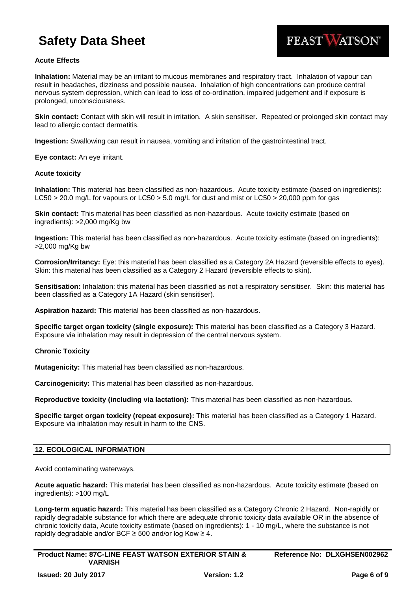

## **Acute Effects**

**Inhalation:** Material may be an irritant to mucous membranes and respiratory tract. Inhalation of vapour can result in headaches, dizziness and possible nausea. Inhalation of high concentrations can produce central nervous system depression, which can lead to loss of co-ordination, impaired judgement and if exposure is prolonged, unconsciousness.

**Skin contact:** Contact with skin will result in irritation. A skin sensitiser. Repeated or prolonged skin contact may lead to allergic contact dermatitis.

**Ingestion:** Swallowing can result in nausea, vomiting and irritation of the gastrointestinal tract.

**Eye contact:** An eye irritant.

#### **Acute toxicity**

**Inhalation:** This material has been classified as non-hazardous. Acute toxicity estimate (based on ingredients): LC50 > 20.0 mg/L for vapours or LC50 > 5.0 mg/L for dust and mist or LC50 > 20,000 ppm for gas

**Skin contact:** This material has been classified as non-hazardous. Acute toxicity estimate (based on ingredients): >2,000 mg/Kg bw

**Ingestion:** This material has been classified as non-hazardous. Acute toxicity estimate (based on ingredients): >2,000 mg/Kg bw

**Corrosion/Irritancy:** Eye: this material has been classified as a Category 2A Hazard (reversible effects to eyes). Skin: this material has been classified as a Category 2 Hazard (reversible effects to skin).

**Sensitisation:** Inhalation: this material has been classified as not a respiratory sensitiser. Skin: this material has been classified as a Category 1A Hazard (skin sensitiser).

**Aspiration hazard:** This material has been classified as non-hazardous.

**Specific target organ toxicity (single exposure):** This material has been classified as a Category 3 Hazard. Exposure via inhalation may result in depression of the central nervous system.

#### **Chronic Toxicity**

**Mutagenicity:** This material has been classified as non-hazardous.

**Carcinogenicity:** This material has been classified as non-hazardous.

**Reproductive toxicity (including via lactation):** This material has been classified as non-hazardous.

**Specific target organ toxicity (repeat exposure):** This material has been classified as a Category 1 Hazard. Exposure via inhalation may result in harm to the CNS.

## **12. ECOLOGICAL INFORMATION**

Avoid contaminating waterways.

**Acute aquatic hazard:** This material has been classified as non-hazardous. Acute toxicity estimate (based on ingredients): >100 mg/L

**Long-term aquatic hazard:** This material has been classified as a Category Chronic 2 Hazard. Non-rapidly or rapidly degradable substance for which there are adequate chronic toxicity data available OR in the absence of chronic toxicity data, Acute toxicity estimate (based on ingredients): 1 - 10 mg/L, where the substance is not rapidly degradable and/or BCF  $\geq$  500 and/or log Kow  $\geq$  4.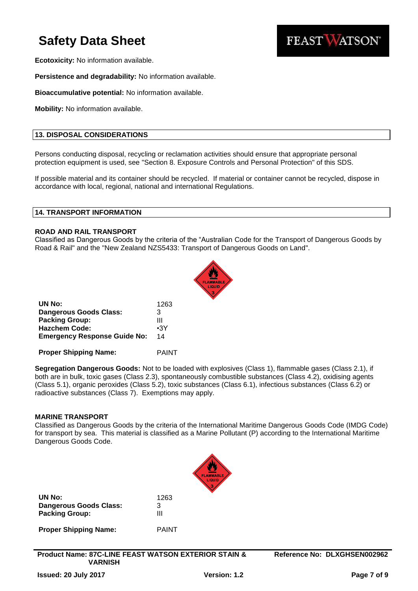

**Ecotoxicity:** No information available.

**Persistence and degradability:** No information available.

**Bioaccumulative potential:** No information available.

**Mobility:** No information available.

## **13. DISPOSAL CONSIDERATIONS**

Persons conducting disposal, recycling or reclamation activities should ensure that appropriate personal protection equipment is used, see "Section 8. Exposure Controls and Personal Protection" of this SDS.

If possible material and its container should be recycled. If material or container cannot be recycled, dispose in accordance with local, regional, national and international Regulations.

## **14. TRANSPORT INFORMATION**

## **ROAD AND RAIL TRANSPORT**

Classified as Dangerous Goods by the criteria of the "Australian Code for the Transport of Dangerous Goods by Road & Rail" and the "New Zealand NZS5433: Transport of Dangerous Goods on Land".



**UN No:** 1263 **Dangerous Goods Class:** 3 **Packing Group:** III **Hazchem Code:** •3Y **Emergency Response Guide No:** 14

**Proper Shipping Name:** PAINT

**Segregation Dangerous Goods:** Not to be loaded with explosives (Class 1), flammable gases (Class 2.1), if both are in bulk, toxic gases (Class 2.3), spontaneously combustible substances (Class 4.2), oxidising agents (Class 5.1), organic peroxides (Class 5.2), toxic substances (Class 6.1), infectious substances (Class 6.2) or radioactive substances (Class 7). Exemptions may apply.

#### **MARINE TRANSPORT**

Classified as Dangerous Goods by the criteria of the International Maritime Dangerous Goods Code (IMDG Code) for transport by sea. This material is classified as a Marine Pollutant (P) according to the International Maritime Dangerous Goods Code.



| UN No:                        | 1263  |
|-------------------------------|-------|
| <b>Dangerous Goods Class:</b> | 3     |
| <b>Packing Group:</b>         | Ш     |
| <b>Proper Shipping Name:</b>  | PAINT |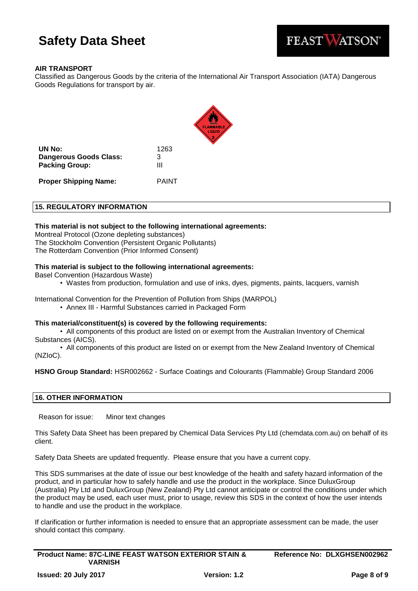

## **AIR TRANSPORT**

Classified as Dangerous Goods by the criteria of the International Air Transport Association (IATA) Dangerous Goods Regulations for transport by air.



**UN No:** 1263 **Dangerous Goods Class:** 3 **Packing Group:** III

**Proper Shipping Name:** PAINT

## **15. REGULATORY INFORMATION**

#### **This material is not subject to the following international agreements:**

Montreal Protocol (Ozone depleting substances) The Stockholm Convention (Persistent Organic Pollutants) The Rotterdam Convention (Prior Informed Consent)

## **This material is subject to the following international agreements:**

Basel Convention (Hazardous Waste)

• Wastes from production, formulation and use of inks, dyes, pigments, paints, lacquers, varnish

International Convention for the Prevention of Pollution from Ships (MARPOL)

• Annex III - Harmful Substances carried in Packaged Form

#### **This material/constituent(s) is covered by the following requirements:**

• All components of this product are listed on or exempt from the Australian Inventory of Chemical Substances (AICS).

• All components of this product are listed on or exempt from the New Zealand Inventory of Chemical (NZIoC).

**HSNO Group Standard:** HSR002662 - Surface Coatings and Colourants (Flammable) Group Standard 2006

#### **16. OTHER INFORMATION**

Reason for issue: Minor text changes

This Safety Data Sheet has been prepared by Chemical Data Services Pty Ltd (chemdata.com.au) on behalf of its client.

Safety Data Sheets are updated frequently. Please ensure that you have a current copy.

This SDS summarises at the date of issue our best knowledge of the health and safety hazard information of the product, and in particular how to safely handle and use the product in the workplace. Since DuluxGroup (Australia) Pty Ltd and DuluxGroup (New Zealand) Pty Ltd cannot anticipate or control the conditions under which the product may be used, each user must, prior to usage, review this SDS in the context of how the user intends to handle and use the product in the workplace.

If clarification or further information is needed to ensure that an appropriate assessment can be made, the user should contact this company.